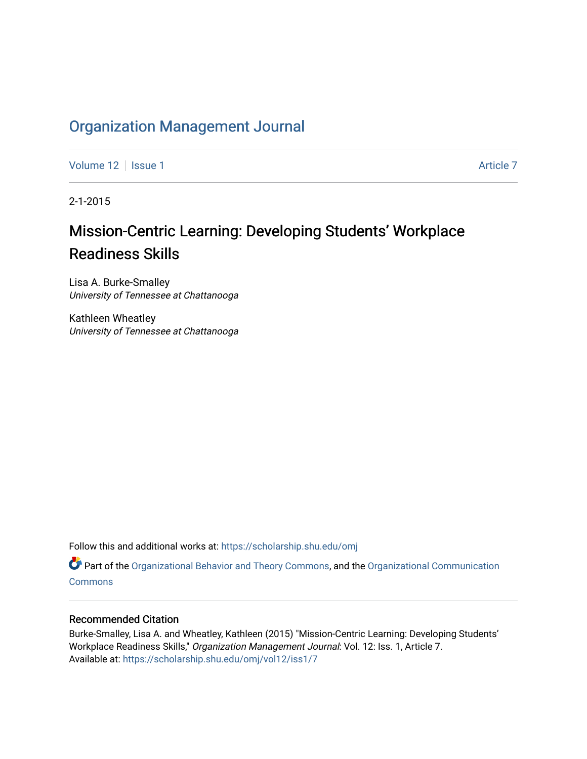# [Organization Management Journal](https://scholarship.shu.edu/omj)

[Volume 12](https://scholarship.shu.edu/omj/vol12) Setup 1 [Article 7](https://scholarship.shu.edu/omj/vol12/iss1/7) Article 7 Article 7

2-1-2015

# Mission-Centric Learning: Developing Students' Workplace Readiness Skills

Lisa A. Burke-Smalley University of Tennessee at Chattanooga

Kathleen Wheatley University of Tennessee at Chattanooga

Follow this and additional works at: [https://scholarship.shu.edu/omj](https://scholarship.shu.edu/omj?utm_source=scholarship.shu.edu%2Fomj%2Fvol12%2Fiss1%2F7&utm_medium=PDF&utm_campaign=PDFCoverPages) 

Part of the [Organizational Behavior and Theory Commons,](http://network.bepress.com/hgg/discipline/639?utm_source=scholarship.shu.edu%2Fomj%2Fvol12%2Fiss1%2F7&utm_medium=PDF&utm_campaign=PDFCoverPages) and the [Organizational Communication](http://network.bepress.com/hgg/discipline/335?utm_source=scholarship.shu.edu%2Fomj%2Fvol12%2Fiss1%2F7&utm_medium=PDF&utm_campaign=PDFCoverPages) **[Commons](http://network.bepress.com/hgg/discipline/335?utm_source=scholarship.shu.edu%2Fomj%2Fvol12%2Fiss1%2F7&utm_medium=PDF&utm_campaign=PDFCoverPages)** 

# Recommended Citation

Burke-Smalley, Lisa A. and Wheatley, Kathleen (2015) "Mission-Centric Learning: Developing Students' Workplace Readiness Skills," Organization Management Journal: Vol. 12: Iss. 1, Article 7. Available at: [https://scholarship.shu.edu/omj/vol12/iss1/7](https://scholarship.shu.edu/omj/vol12/iss1/7?utm_source=scholarship.shu.edu%2Fomj%2Fvol12%2Fiss1%2F7&utm_medium=PDF&utm_campaign=PDFCoverPages)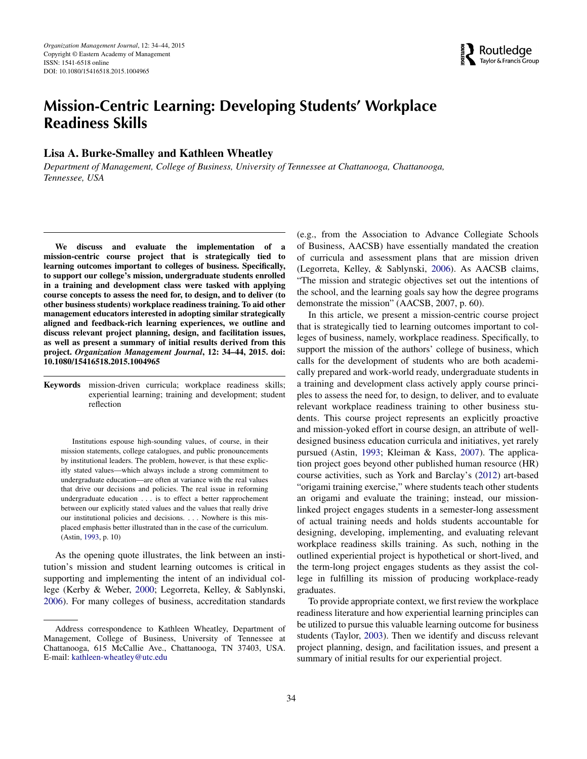

# **Mission-Centric Learning: Developing Students' Workplace Readiness Skills**

# **Lisa A. Burke-Smalley and Kathleen Wheatley**

*Department of Management, College of Business, University of Tennessee at Chattanooga, Chattanooga, Tennessee, USA*

**We discuss and evaluate the implementation of a mission-centric course project that is strategically tied to learning outcomes important to colleges of business. Specifically, to support our college's mission, undergraduate students enrolled in a training and development class were tasked with applying course concepts to assess the need for, to design, and to deliver (to other business students) workplace readiness training. To aid other management educators interested in adopting similar strategically aligned and feedback-rich learning experiences, we outline and discuss relevant project planning, design, and facilitation issues, as well as present a summary of initial results derived from this project.** *Organization Management Journal***, 12: 34–44, 2015. doi: 10.1080/15416518.2015.1004965**

**Keywords** mission-driven curricula; workplace readiness skills; experiential learning; training and development; student reflection

Institutions espouse high-sounding values, of course, in their mission statements, college catalogues, and public pronouncements by institutional leaders. The problem, however, is that these explicitly stated values—which always include a strong commitment to undergraduate education—are often at variance with the real values that drive our decisions and policies. The real issue in reforming undergraduate education *...* is to effect a better rapprochement between our explicitly stated values and the values that really drive our institutional policies and decisions. *...* Nowhere is this misplaced emphasis better illustrated than in the case of the curriculum. (Astin, [1993,](#page-8-0) p. 10)

As the opening quote illustrates, the link between an institution's mission and student learning outcomes is critical in supporting and implementing the intent of an individual college (Kerby & Weber, [2000;](#page-9-0) Legorreta, Kelley, & Sablynski, [2006\)](#page-9-1). For many colleges of business, accreditation standards (e.g., from the Association to Advance Collegiate Schools of Business, AACSB) have essentially mandated the creation of curricula and assessment plans that are mission driven (Legorreta, Kelley, & Sablynski, [2006\)](#page-9-1). As AACSB claims, "The mission and strategic objectives set out the intentions of the school, and the learning goals say how the degree programs demonstrate the mission" (AACSB, 2007, p. 60).

In this article, we present a mission-centric course project that is strategically tied to learning outcomes important to colleges of business, namely, workplace readiness. Specifically, to support the mission of the authors' college of business, which calls for the development of students who are both academically prepared and work-world ready, undergraduate students in a training and development class actively apply course principles to assess the need for, to design, to deliver, and to evaluate relevant workplace readiness training to other business students. This course project represents an explicitly proactive and mission-yoked effort in course design, an attribute of welldesigned business education curricula and initiatives, yet rarely pursued (Astin, [1993;](#page-8-0) Kleiman & Kass, [2007\)](#page-9-2). The application project goes beyond other published human resource (HR) course activities, such as York and Barclay's [\(2012\)](#page-9-3) art-based "origami training exercise," where students teach other students an origami and evaluate the training; instead, our missionlinked project engages students in a semester-long assessment of actual training needs and holds students accountable for designing, developing, implementing, and evaluating relevant workplace readiness skills training. As such, nothing in the outlined experiential project is hypothetical or short-lived, and the term-long project engages students as they assist the college in fulfilling its mission of producing workplace-ready graduates.

To provide appropriate context, we first review the workplace readiness literature and how experiential learning principles can be utilized to pursue this valuable learning outcome for business students (Taylor, [2003\)](#page-9-4). Then we identify and discuss relevant project planning, design, and facilitation issues, and present a summary of initial results for our experiential project.

Address correspondence to Kathleen Wheatley, Department of Management, College of Business, University of Tennessee at Chattanooga, 615 McCallie Ave., Chattanooga, TN 37403, USA. E-mail: [kathleen-wheatley@utc.edu](mailto:kathleen-wheatley@utc.edu)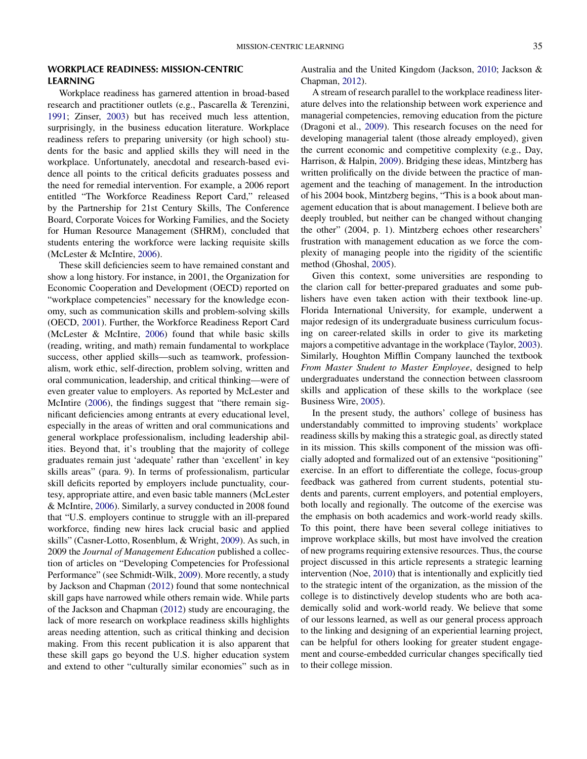## **WORKPLACE READINESS: MISSION-CENTRIC LEARNING**

Workplace readiness has garnered attention in broad-based research and practitioner outlets (e.g., Pascarella & Terenzini, [1991;](#page-9-5) Zinser, [2003\)](#page-9-6) but has received much less attention, surprisingly, in the business education literature. Workplace readiness refers to preparing university (or high school) students for the basic and applied skills they will need in the workplace. Unfortunately, anecdotal and research-based evidence all points to the critical deficits graduates possess and the need for remedial intervention. For example, a 2006 report entitled "The Workforce Readiness Report Card," released by the Partnership for 21st Century Skills, The Conference Board, Corporate Voices for Working Families, and the Society for Human Resource Management (SHRM), concluded that students entering the workforce were lacking requisite skills (McLester & McIntire, [2006\)](#page-9-7).

These skill deficiencies seem to have remained constant and show a long history. For instance, in 2001, the Organization for Economic Cooperation and Development (OECD) reported on "workplace competencies" necessary for the knowledge economy, such as communication skills and problem-solving skills (OECD, [2001\)](#page-9-8). Further, the Workforce Readiness Report Card (McLester & McIntire, [2006\)](#page-9-7) found that while basic skills (reading, writing, and math) remain fundamental to workplace success, other applied skills—such as teamwork, professionalism, work ethic, self-direction, problem solving, written and oral communication, leadership, and critical thinking—were of even greater value to employers. As reported by McLester and McIntire [\(2006\)](#page-9-7), the findings suggest that "there remain significant deficiencies among entrants at every educational level, especially in the areas of written and oral communications and general workplace professionalism, including leadership abilities. Beyond that, it's troubling that the majority of college graduates remain just 'adequate' rather than 'excellent' in key skills areas" (para. 9). In terms of professionalism, particular skill deficits reported by employers include punctuality, courtesy, appropriate attire, and even basic table manners (McLester & McIntire, [2006\)](#page-9-7). Similarly, a survey conducted in 2008 found that "U.S. employers continue to struggle with an ill-prepared workforce, finding new hires lack crucial basic and applied skills" (Casner-Lotto, Rosenblum, & Wright, [2009\)](#page-8-1). As such, in 2009 the *Journal of Management Education* published a collection of articles on "Developing Competencies for Professional Performance" (see Schmidt-Wilk, [2009\)](#page-9-9). More recently, a study by Jackson and Chapman [\(2012\)](#page-9-10) found that some nontechnical skill gaps have narrowed while others remain wide. While parts of the Jackson and Chapman [\(2012\)](#page-9-10) study are encouraging, the lack of more research on workplace readiness skills highlights areas needing attention, such as critical thinking and decision making. From this recent publication it is also apparent that these skill gaps go beyond the U.S. higher education system and extend to other "culturally similar economies" such as in Australia and the United Kingdom (Jackson, [2010;](#page-9-11) Jackson & Chapman, [2012\)](#page-9-10).

A stream of research parallel to the workplace readiness literature delves into the relationship between work experience and managerial competencies, removing education from the picture (Dragoni et al., [2009\)](#page-8-2). This research focuses on the need for developing managerial talent (those already employed), given the current economic and competitive complexity (e.g., Day, Harrison, & Halpin, [2009\)](#page-8-3). Bridging these ideas, Mintzberg has written prolifically on the divide between the practice of management and the teaching of management. In the introduction of his 2004 book, Mintzberg begins, "This is a book about management education that is about management. I believe both are deeply troubled, but neither can be changed without changing the other" (2004, p. 1). Mintzberg echoes other researchers' frustration with management education as we force the complexity of managing people into the rigidity of the scientific method (Ghoshal, [2005\)](#page-8-4).

Given this context, some universities are responding to the clarion call for better-prepared graduates and some publishers have even taken action with their textbook line-up. Florida International University, for example, underwent a major redesign of its undergraduate business curriculum focusing on career-related skills in order to give its marketing majors a competitive advantage in the workplace (Taylor, [2003\)](#page-9-4). Similarly, Houghton Mifflin Company launched the textbook *From Master Student to Master Employee*, designed to help undergraduates understand the connection between classroom skills and application of these skills to the workplace (see Business Wire, [2005\)](#page-8-5).

In the present study, the authors' college of business has understandably committed to improving students' workplace readiness skills by making this a strategic goal, as directly stated in its mission. This skills component of the mission was officially adopted and formalized out of an extensive "positioning" exercise. In an effort to differentiate the college, focus-group feedback was gathered from current students, potential students and parents, current employers, and potential employers, both locally and regionally. The outcome of the exercise was the emphasis on both academics and work-world ready skills. To this point, there have been several college initiatives to improve workplace skills, but most have involved the creation of new programs requiring extensive resources. Thus, the course project discussed in this article represents a strategic learning intervention (Noe, [2010\)](#page-9-12) that is intentionally and explicitly tied to the strategic intent of the organization, as the mission of the college is to distinctively develop students who are both academically solid and work-world ready. We believe that some of our lessons learned, as well as our general process approach to the linking and designing of an experiential learning project, can be helpful for others looking for greater student engagement and course-embedded curricular changes specifically tied to their college mission.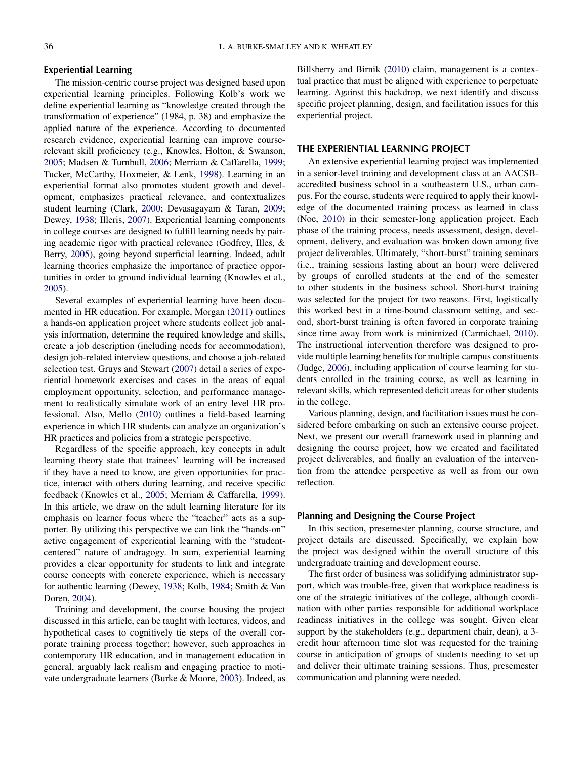#### **Experiential Learning**

The mission-centric course project was designed based upon experiential learning principles. Following Kolb's work we define experiential learning as "knowledge created through the transformation of experience" (1984, p. 38) and emphasize the applied nature of the experience. According to documented research evidence, experiential learning can improve courserelevant skill proficiency (e.g., Knowles, Holton, & Swanson, [2005;](#page-9-13) Madsen & Turnbull, [2006;](#page-9-14) Merriam & Caffarella, [1999;](#page-9-15) Tucker, McCarthy, Hoxmeier, & Lenk, [1998\)](#page-9-16). Learning in an experiential format also promotes student growth and development, emphasizes practical relevance, and contextualizes student learning (Clark, [2000;](#page-8-6) Devasagayam & Taran, [2009;](#page-8-7) Dewey, [1938;](#page-8-8) Illeris, [2007\)](#page-9-17). Experiential learning components in college courses are designed to fulfill learning needs by pairing academic rigor with practical relevance (Godfrey, Illes, & Berry, [2005\)](#page-8-9), going beyond superficial learning. Indeed, adult learning theories emphasize the importance of practice opportunities in order to ground individual learning (Knowles et al., [2005\)](#page-9-13).

Several examples of experiential learning have been documented in HR education. For example, Morgan [\(2011\)](#page-9-18) outlines a hands-on application project where students collect job analysis information, determine the required knowledge and skills, create a job description (including needs for accommodation), design job-related interview questions, and choose a job-related selection test. Gruys and Stewart [\(2007\)](#page-8-10) detail a series of experiential homework exercises and cases in the areas of equal employment opportunity, selection, and performance management to realistically simulate work of an entry level HR professional. Also, Mello [\(2010\)](#page-9-19) outlines a field-based learning experience in which HR students can analyze an organization's HR practices and policies from a strategic perspective.

Regardless of the specific approach, key concepts in adult learning theory state that trainees' learning will be increased if they have a need to know, are given opportunities for practice, interact with others during learning, and receive specific feedback (Knowles et al., [2005;](#page-9-13) Merriam & Caffarella, [1999\)](#page-9-15). In this article, we draw on the adult learning literature for its emphasis on learner focus where the "teacher" acts as a supporter. By utilizing this perspective we can link the "hands-on" active engagement of experiential learning with the "studentcentered" nature of andragogy. In sum, experiential learning provides a clear opportunity for students to link and integrate course concepts with concrete experience, which is necessary for authentic learning (Dewey, [1938;](#page-8-8) Kolb, [1984;](#page-9-20) Smith & Van Doren, [2004\)](#page-9-21).

Training and development, the course housing the project discussed in this article, can be taught with lectures, videos, and hypothetical cases to cognitively tie steps of the overall corporate training process together; however, such approaches in contemporary HR education, and in management education in general, arguably lack realism and engaging practice to motivate undergraduate learners (Burke & Moore, [2003\)](#page-8-11). Indeed, as

Billsberry and Birnik [\(2010\)](#page-8-12) claim, management is a contextual practice that must be aligned with experience to perpetuate learning. Against this backdrop, we next identify and discuss specific project planning, design, and facilitation issues for this experiential project.

#### **THE EXPERIENTIAL LEARNING PROJECT**

An extensive experiential learning project was implemented in a senior-level training and development class at an AACSBaccredited business school in a southeastern U.S., urban campus. For the course, students were required to apply their knowledge of the documented training process as learned in class (Noe, [2010\)](#page-9-12) in their semester-long application project. Each phase of the training process, needs assessment, design, development, delivery, and evaluation was broken down among five project deliverables. Ultimately, "short-burst" training seminars (i.e., training sessions lasting about an hour) were delivered by groups of enrolled students at the end of the semester to other students in the business school. Short-burst training was selected for the project for two reasons. First, logistically this worked best in a time-bound classroom setting, and second, short-burst training is often favored in corporate training since time away from work is minimized (Carmichael, [2010\)](#page-8-13). The instructional intervention therefore was designed to provide multiple learning benefits for multiple campus constituents (Judge, [2006\)](#page-9-22), including application of course learning for students enrolled in the training course, as well as learning in relevant skills, which represented deficit areas for other students in the college.

Various planning, design, and facilitation issues must be considered before embarking on such an extensive course project. Next, we present our overall framework used in planning and designing the course project, how we created and facilitated project deliverables, and finally an evaluation of the intervention from the attendee perspective as well as from our own reflection.

#### **Planning and Designing the Course Project**

In this section, presemester planning, course structure, and project details are discussed. Specifically, we explain how the project was designed within the overall structure of this undergraduate training and development course.

The first order of business was solidifying administrator support, which was trouble-free, given that workplace readiness is one of the strategic initiatives of the college, although coordination with other parties responsible for additional workplace readiness initiatives in the college was sought. Given clear support by the stakeholders (e.g., department chair, dean), a 3 credit hour afternoon time slot was requested for the training course in anticipation of groups of students needing to set up and deliver their ultimate training sessions. Thus, presemester communication and planning were needed.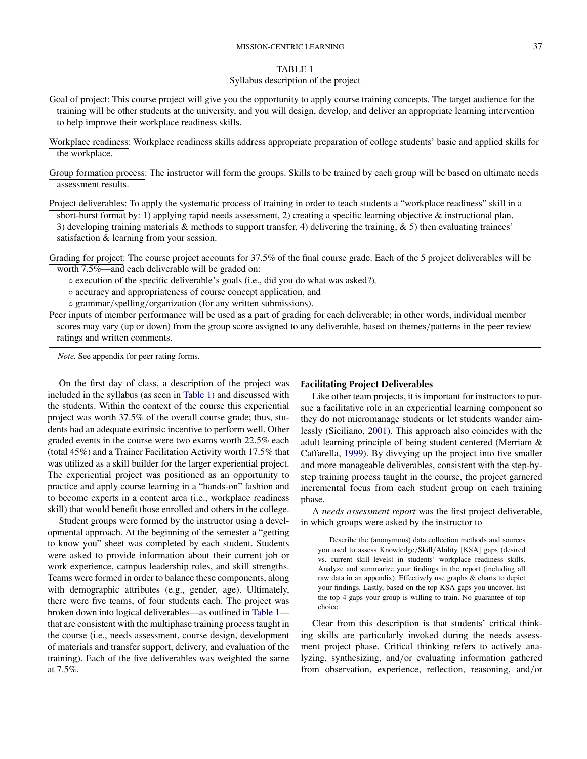# <span id="page-4-0"></span>TABLE 1 Syllabus description of the project

- Goal of project: This course project will give you the opportunity to apply course training concepts. The target audience for the training will be other students at the university, and you will design, develop, and deliver an appropriate learning intervention to help improve their workplace readiness skills.
- Workplace readiness: Workplace readiness skills address appropriate preparation of college students' basic and applied skills for the workplace.
- Group formation process: The instructor will form the groups. Skills to be trained by each group will be based on ultimate needs assessment results.

Project deliverables: To apply the systematic process of training in order to teach students a "workplace readiness" skill in a short-burst format by: 1) applying rapid needs assessment, 2) creating a specific learning objective & instructional plan, 3) developing training materials  $\&$  methods to support transfer, 4) delivering the training,  $\&$  5) then evaluating trainees' satisfaction & learning from your session.

- Grading for project: The course project accounts for 37.5% of the final course grade. Each of the 5 project deliverables will be worth 7.5%—and each deliverable will be graded on:
	- execution of the specific deliverable's goals (i.e., did you do what was asked?)*,*
	- accuracy and appropriateness of course concept application, and
	- grammar*/*spelling*/*organization (for any written submissions).

Peer inputs of member performance will be used as a part of grading for each deliverable; in other words, individual member scores may vary (up or down) from the group score assigned to any deliverable, based on themes*/*patterns in the peer review ratings and written comments.

*Note.* See appendix for peer rating forms.

On the first day of class, a description of the project was included in the syllabus (as seen in [Table 1\)](#page-4-0) and discussed with the students. Within the context of the course this experiential project was worth 37.5% of the overall course grade; thus, students had an adequate extrinsic incentive to perform well. Other graded events in the course were two exams worth 22.5% each (total 45%) and a Trainer Facilitation Activity worth 17.5% that was utilized as a skill builder for the larger experiential project. The experiential project was positioned as an opportunity to practice and apply course learning in a "hands-on" fashion and to become experts in a content area (i.e., workplace readiness skill) that would benefit those enrolled and others in the college.

Student groups were formed by the instructor using a developmental approach. At the beginning of the semester a "getting to know you" sheet was completed by each student. Students were asked to provide information about their current job or work experience, campus leadership roles, and skill strengths. Teams were formed in order to balance these components, along with demographic attributes (e.g., gender, age). Ultimately, there were five teams, of four students each. The project was broken down into logical deliverables—as outlined in [Table 1](#page-4-0) that are consistent with the multiphase training process taught in the course (i.e., needs assessment, course design, development of materials and transfer support, delivery, and evaluation of the training). Each of the five deliverables was weighted the same at 7.5%.

#### **Facilitating Project Deliverables**

Like other team projects, it is important for instructors to pursue a facilitative role in an experiential learning component so they do not micromanage students or let students wander aimlessly (Siciliano, [2001\)](#page-9-23). This approach also coincides with the adult learning principle of being student centered (Merriam & Caffarella, [1999\)](#page-9-15). By divvying up the project into five smaller and more manageable deliverables, consistent with the step-bystep training process taught in the course, the project garnered incremental focus from each student group on each training phase.

A *needs assessment report* was the first project deliverable, in which groups were asked by the instructor to

Describe the (anonymous) data collection methods and sources you used to assess Knowledge*/*Skill*/*Ability [KSA] gaps (desired vs. current skill levels) in students' workplace readiness skills. Analyze and summarize your findings in the report (including all raw data in an appendix). Effectively use graphs & charts to depict your findings. Lastly, based on the top KSA gaps you uncover, list the top 4 gaps your group is willing to train. No guarantee of top choice.

Clear from this description is that students' critical thinking skills are particularly invoked during the needs assessment project phase. Critical thinking refers to actively analyzing, synthesizing, and*/*or evaluating information gathered from observation, experience, reflection, reasoning, and*/*or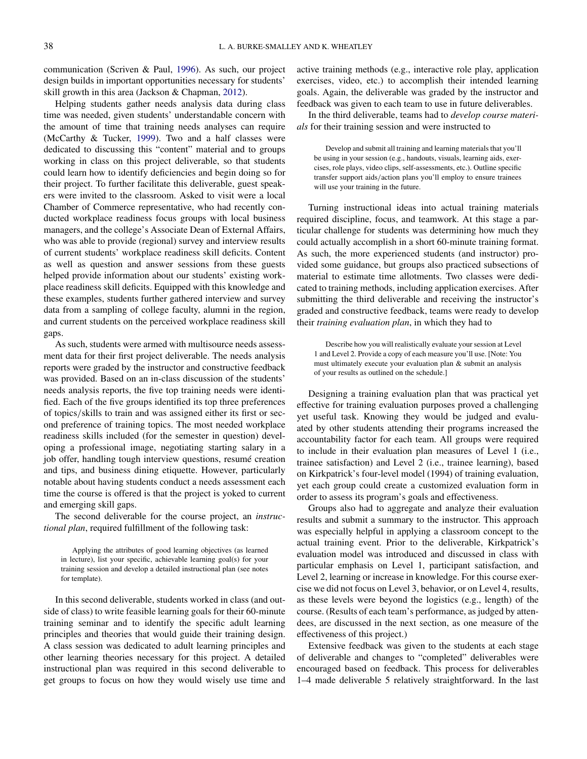communication (Scriven & Paul, [1996\)](#page-9-24). As such, our project design builds in important opportunities necessary for students' skill growth in this area (Jackson & Chapman, [2012\)](#page-9-10).

Helping students gather needs analysis data during class time was needed, given students' understandable concern with the amount of time that training needs analyses can require (McCarthy & Tucker, [1999\)](#page-9-25). Two and a half classes were dedicated to discussing this "content" material and to groups working in class on this project deliverable, so that students could learn how to identify deficiencies and begin doing so for their project. To further facilitate this deliverable, guest speakers were invited to the classroom. Asked to visit were a local Chamber of Commerce representative, who had recently conducted workplace readiness focus groups with local business managers, and the college's Associate Dean of External Affairs, who was able to provide (regional) survey and interview results of current students' workplace readiness skill deficits. Content as well as question and answer sessions from these guests helped provide information about our students' existing workplace readiness skill deficits. Equipped with this knowledge and these examples, students further gathered interview and survey data from a sampling of college faculty, alumni in the region, and current students on the perceived workplace readiness skill gaps.

As such, students were armed with multisource needs assessment data for their first project deliverable. The needs analysis reports were graded by the instructor and constructive feedback was provided. Based on an in-class discussion of the students' needs analysis reports, the five top training needs were identified. Each of the five groups identified its top three preferences of topics*/*skills to train and was assigned either its first or second preference of training topics. The most needed workplace readiness skills included (for the semester in question) developing a professional image, negotiating starting salary in a job offer, handling tough interview questions, resumé creation and tips, and business dining etiquette. However, particularly notable about having students conduct a needs assessment each time the course is offered is that the project is yoked to current and emerging skill gaps.

The second deliverable for the course project, an *instructional plan*, required fulfillment of the following task:

Applying the attributes of good learning objectives (as learned in lecture), list your specific, achievable learning goal(s) for your training session and develop a detailed instructional plan (see notes for template).

In this second deliverable, students worked in class (and outside of class) to write feasible learning goals for their 60-minute training seminar and to identify the specific adult learning principles and theories that would guide their training design. A class session was dedicated to adult learning principles and other learning theories necessary for this project. A detailed instructional plan was required in this second deliverable to get groups to focus on how they would wisely use time and

active training methods (e.g., interactive role play, application exercises, video, etc.) to accomplish their intended learning goals. Again, the deliverable was graded by the instructor and feedback was given to each team to use in future deliverables.

In the third deliverable, teams had to *develop course materials* for their training session and were instructed to

Develop and submit all training and learning materials that you'll be using in your session (e.g., handouts, visuals, learning aids, exercises, role plays, video clips, self-assessments, etc.). Outline specific transfer support aids*/*action plans you'll employ to ensure trainees will use your training in the future.

Turning instructional ideas into actual training materials required discipline, focus, and teamwork. At this stage a particular challenge for students was determining how much they could actually accomplish in a short 60-minute training format. As such, the more experienced students (and instructor) provided some guidance, but groups also practiced subsections of material to estimate time allotments. Two classes were dedicated to training methods, including application exercises. After submitting the third deliverable and receiving the instructor's graded and constructive feedback, teams were ready to develop their *training evaluation plan*, in which they had to

Describe how you will realistically evaluate your session at Level 1 and Level 2. Provide a copy of each measure you'll use. [Note: You must ultimately execute your evaluation plan & submit an analysis of your results as outlined on the schedule.]

Designing a training evaluation plan that was practical yet effective for training evaluation purposes proved a challenging yet useful task. Knowing they would be judged and evaluated by other students attending their programs increased the accountability factor for each team. All groups were required to include in their evaluation plan measures of Level 1 (i.e., trainee satisfaction) and Level 2 (i.e., trainee learning), based on Kirkpatrick's four-level model (1994) of training evaluation, yet each group could create a customized evaluation form in order to assess its program's goals and effectiveness.

Groups also had to aggregate and analyze their evaluation results and submit a summary to the instructor. This approach was especially helpful in applying a classroom concept to the actual training event. Prior to the deliverable, Kirkpatrick's evaluation model was introduced and discussed in class with particular emphasis on Level 1, participant satisfaction, and Level 2, learning or increase in knowledge. For this course exercise we did not focus on Level 3, behavior, or on Level 4, results, as these levels were beyond the logistics (e.g., length) of the course. (Results of each team's performance, as judged by attendees, are discussed in the next section, as one measure of the effectiveness of this project.)

Extensive feedback was given to the students at each stage of deliverable and changes to "completed" deliverables were encouraged based on feedback. This process for deliverables 1–4 made deliverable 5 relatively straightforward. In the last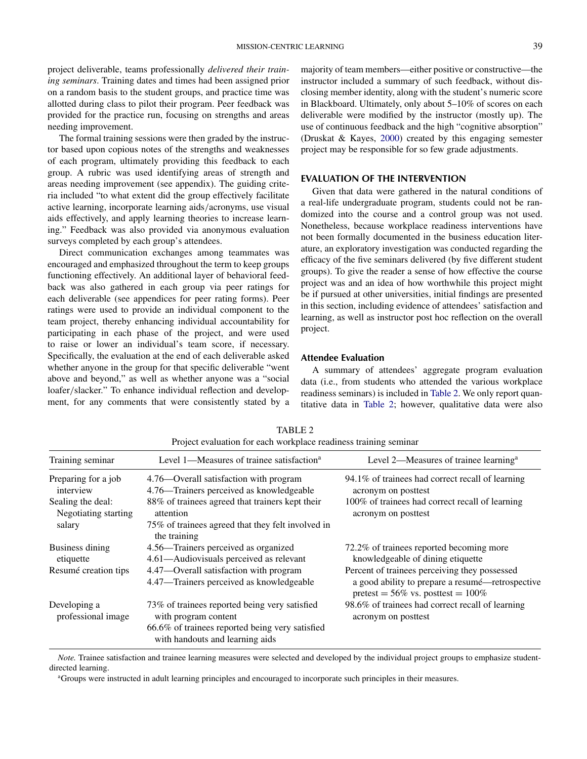project deliverable, teams professionally *delivered their training seminars*. Training dates and times had been assigned prior on a random basis to the student groups, and practice time was allotted during class to pilot their program. Peer feedback was provided for the practice run, focusing on strengths and areas needing improvement.

The formal training sessions were then graded by the instructor based upon copious notes of the strengths and weaknesses of each program, ultimately providing this feedback to each group. A rubric was used identifying areas of strength and areas needing improvement (see appendix). The guiding criteria included "to what extent did the group effectively facilitate active learning, incorporate learning aids*/*acronyms, use visual aids effectively, and apply learning theories to increase learning." Feedback was also provided via anonymous evaluation surveys completed by each group's attendees.

Direct communication exchanges among teammates was encouraged and emphasized throughout the term to keep groups functioning effectively. An additional layer of behavioral feedback was also gathered in each group via peer ratings for each deliverable (see appendices for peer rating forms). Peer ratings were used to provide an individual component to the team project, thereby enhancing individual accountability for participating in each phase of the project, and were used to raise or lower an individual's team score, if necessary. Specifically, the evaluation at the end of each deliverable asked whether anyone in the group for that specific deliverable "went above and beyond," as well as whether anyone was a "social loafer*/*slacker." To enhance individual reflection and development, for any comments that were consistently stated by a

majority of team members—either positive or constructive—the instructor included a summary of such feedback, without disclosing member identity, along with the student's numeric score in Blackboard. Ultimately, only about 5–10% of scores on each deliverable were modified by the instructor (mostly up). The use of continuous feedback and the high "cognitive absorption" (Druskat & Kayes, [2000\)](#page-8-14) created by this engaging semester project may be responsible for so few grade adjustments.

#### **EVALUATION OF THE INTERVENTION**

Given that data were gathered in the natural conditions of a real-life undergraduate program, students could not be randomized into the course and a control group was not used. Nonetheless, because workplace readiness interventions have not been formally documented in the business education literature, an exploratory investigation was conducted regarding the efficacy of the five seminars delivered (by five different student groups). To give the reader a sense of how effective the course project was and an idea of how worthwhile this project might be if pursued at other universities, initial findings are presented in this section, including evidence of attendees' satisfaction and learning, as well as instructor post hoc reflection on the overall project.

#### **Attendee Evaluation**

<span id="page-6-0"></span>A summary of attendees' aggregate program evaluation data (i.e., from students who attended the various workplace readiness seminars) is included in [Table 2.](#page-6-0) We only report quantitative data in [Table 2;](#page-6-0) however, qualitative data were also

| Training seminar                          | Level 1—Measures of trainee satisfaction <sup>a</sup>                                                                                                       | Level 2—Measures of trainee learning <sup>a</sup>                                                                                            |  |
|-------------------------------------------|-------------------------------------------------------------------------------------------------------------------------------------------------------------|----------------------------------------------------------------------------------------------------------------------------------------------|--|
| Preparing for a job<br>interview          | 4.76—Overall satisfaction with program<br>4.76—Trainers perceived as knowledgeable                                                                          | 94.1% of trainees had correct recall of learning<br>acronym on posttest                                                                      |  |
| Sealing the deal:<br>Negotiating starting | 88% of trainees agreed that trainers kept their<br>attention                                                                                                | 100% of trainees had correct recall of learning<br>acronym on posttest                                                                       |  |
| salary                                    | 75% of trainees agreed that they felt involved in<br>the training                                                                                           |                                                                                                                                              |  |
| Business dining<br>etiquette              | 4.56—Trainers perceived as organized<br>4.61—Audiovisuals perceived as relevant                                                                             | 72.2% of trainees reported becoming more<br>knowledgeable of dining etiquette                                                                |  |
| Resumé creation tips                      | 4.47—Overall satisfaction with program<br>4.47—Trainers perceived as knowledgeable                                                                          | Percent of trainees perceiving they possessed<br>a good ability to prepare a resumé—retrospective<br>pretest = $56\%$ vs. posttest = $100\%$ |  |
| Developing a<br>professional image        | 73% of trainees reported being very satisfied<br>with program content<br>66.6% of trainees reported being very satisfied<br>with handouts and learning aids | 98.6% of trainees had correct recall of learning<br>acronym on posttest                                                                      |  |

TABLE 2 Project evaluation for each workplace readiness training seminar

*Note.* Trainee satisfaction and trainee learning measures were selected and developed by the individual project groups to emphasize studentdirected learning.

a Groups were instructed in adult learning principles and encouraged to incorporate such principles in their measures.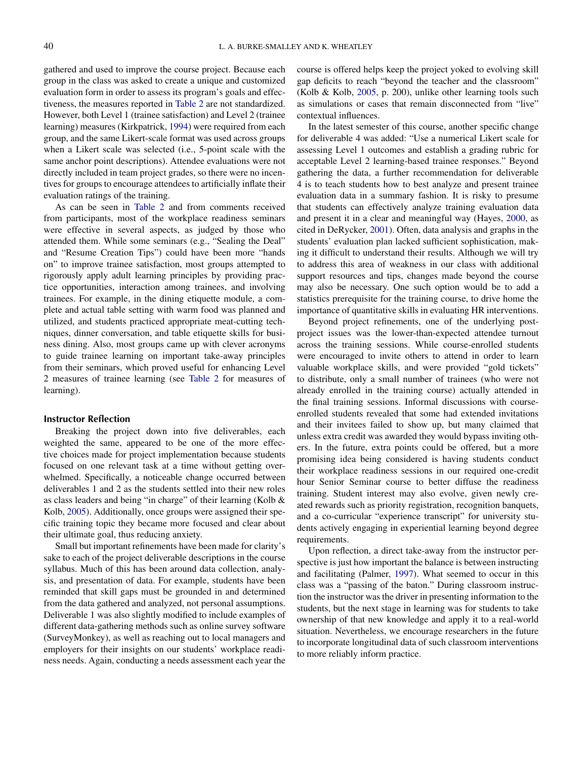gathered and used to improve the course project. Because each group in the class was asked to create a unique and customized evaluation form in order to assess its program's goals and effectiveness, the measures reported in [Table 2](#page-6-0) are not standardized. However, both Level 1 (trainee satisfaction) and Level 2 (trainee learning) measures (Kirkpatrick, [1994\)](#page-9-26) were required from each group, and the same Likert-scale format was used across groups when a Likert scale was selected (i.e., 5-point scale with the same anchor point descriptions). Attendee evaluations were not directly included in team project grades, so there were no incentives for groups to encourage attendees to artificially inflate their evaluation ratings of the training.

As can be seen in [Table 2](#page-6-0) and from comments received from participants, most of the workplace readiness seminars were effective in several aspects, as judged by those who attended them. While some seminars (e.g., "Sealing the Deal" and "Resume Creation Tips") could have been more "hands on" to improve trainee satisfaction, most groups attempted to rigorously apply adult learning principles by providing practice opportunities, interaction among trainees, and involving trainees. For example, in the dining etiquette module, a complete and actual table setting with warm food was planned and utilized, and students practiced appropriate meat-cutting techniques, dinner conversation, and table etiquette skills for business dining. Also, most groups came up with clever acronyms to guide trainee learning on important take-away principles from their seminars, which proved useful for enhancing Level 2 measures of trainee learning (see [Table 2](#page-6-0) for measures of learning).

#### **Instructor Reflection**

Breaking the project down into five deliverables, each weighted the same, appeared to be one of the more effective choices made for project implementation because students focused on one relevant task at a time without getting overwhelmed. Specifically, a noticeable change occurred between deliverables 1 and 2 as the students settled into their new roles as class leaders and being "in charge" of their learning (Kolb & Kolb, [2005\)](#page-9-27). Additionally, once groups were assigned their specific training topic they became more focused and clear about their ultimate goal, thus reducing anxiety.

Small but important refinements have been made for clarity's sake to each of the project deliverable descriptions in the course syllabus. Much of this has been around data collection, analysis, and presentation of data. For example, students have been reminded that skill gaps must be grounded in and determined from the data gathered and analyzed, not personal assumptions. Deliverable 1 was also slightly modified to include examples of different data-gathering methods such as online survey software (SurveyMonkey), as well as reaching out to local managers and employers for their insights on our students' workplace readiness needs. Again, conducting a needs assessment each year the

course is offered helps keep the project yoked to evolving skill gap deficits to reach "beyond the teacher and the classroom" (Kolb & Kolb, [2005,](#page-9-27) p. 200), unlike other learning tools such as simulations or cases that remain disconnected from "live" contextual influences.

In the latest semester of this course, another specific change for deliverable 4 was added: "Use a numerical Likert scale for assessing Level 1 outcomes and establish a grading rubric for acceptable Level 2 learning-based trainee responses." Beyond gathering the data, a further recommendation for deliverable 4 is to teach students how to best analyze and present trainee evaluation data in a summary fashion. It is risky to presume that students can effectively analyze training evaluation data and present it in a clear and meaningful way (Hayes, [2000,](#page-9-28) as cited in DeRycker, [2001\)](#page-8-15). Often, data analysis and graphs in the students' evaluation plan lacked sufficient sophistication, making it difficult to understand their results. Although we will try to address this area of weakness in our class with additional support resources and tips, changes made beyond the course may also be necessary. One such option would be to add a statistics prerequisite for the training course, to drive home the importance of quantitative skills in evaluating HR interventions.

Beyond project refinements, one of the underlying postproject issues was the lower-than-expected attendee turnout across the training sessions. While course-enrolled students were encouraged to invite others to attend in order to learn valuable workplace skills, and were provided "gold tickets" to distribute, only a small number of trainees (who were not already enrolled in the training course) actually attended in the final training sessions. Informal discussions with courseenrolled students revealed that some had extended invitations and their invitees failed to show up, but many claimed that unless extra credit was awarded they would bypass inviting others. In the future, extra points could be offered, but a more promising idea being considered is having students conduct their workplace readiness sessions in our required one-credit hour Senior Seminar course to better diffuse the readiness training. Student interest may also evolve, given newly created rewards such as priority registration, recognition banquets, and a co-curricular "experience transcript" for university students actively engaging in experiential learning beyond degree requirements.

Upon reflection, a direct take-away from the instructor perspective is just how important the balance is between instructing and facilitating (Palmer, [1997\)](#page-9-29). What seemed to occur in this class was a "passing of the baton." During classroom instruction the instructor was the driver in presenting information to the students, but the next stage in learning was for students to take ownership of that new knowledge and apply it to a real-world situation. Nevertheless, we encourage researchers in the future to incorporate longitudinal data of such classroom interventions to more reliably inform practice.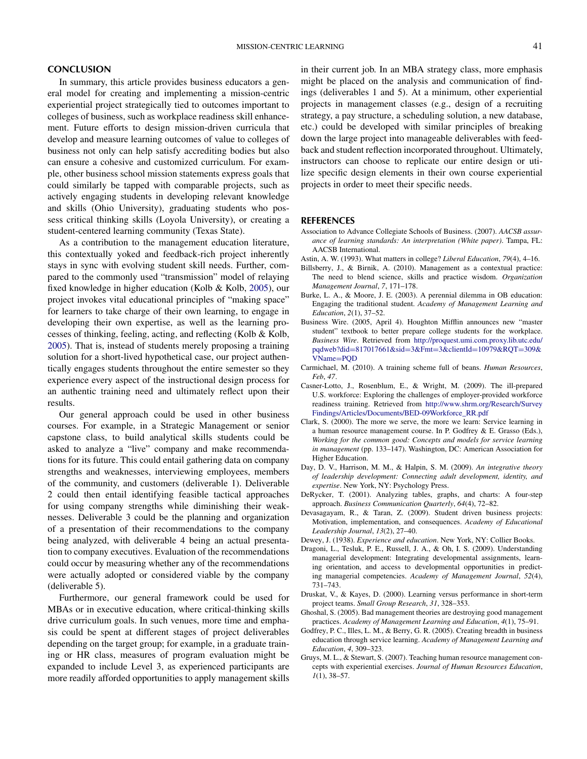## **CONCLUSION**

In summary, this article provides business educators a general model for creating and implementing a mission-centric experiential project strategically tied to outcomes important to colleges of business, such as workplace readiness skill enhancement. Future efforts to design mission-driven curricula that develop and measure learning outcomes of value to colleges of business not only can help satisfy accrediting bodies but also can ensure a cohesive and customized curriculum. For example, other business school mission statements express goals that could similarly be tapped with comparable projects, such as actively engaging students in developing relevant knowledge and skills (Ohio University), graduating students who possess critical thinking skills (Loyola University), or creating a student-centered learning community (Texas State).

As a contribution to the management education literature, this contextually yoked and feedback-rich project inherently stays in sync with evolving student skill needs. Further, compared to the commonly used "transmission" model of relaying fixed knowledge in higher education (Kolb & Kolb, [2005\)](#page-9-27), our project invokes vital educational principles of "making space" for learners to take charge of their own learning, to engage in developing their own expertise, as well as the learning processes of thinking, feeling, acting, and reflecting (Kolb & Kolb, [2005\)](#page-9-27). That is, instead of students merely proposing a training solution for a short-lived hypothetical case, our project authentically engages students throughout the entire semester so they experience every aspect of the instructional design process for an authentic training need and ultimately reflect upon their results.

Our general approach could be used in other business courses. For example, in a Strategic Management or senior capstone class, to build analytical skills students could be asked to analyze a "live" company and make recommendations for its future. This could entail gathering data on company strengths and weaknesses, interviewing employees, members of the community, and customers (deliverable 1). Deliverable 2 could then entail identifying feasible tactical approaches for using company strengths while diminishing their weaknesses. Deliverable 3 could be the planning and organization of a presentation of their recommendations to the company being analyzed, with deliverable 4 being an actual presentation to company executives. Evaluation of the recommendations could occur by measuring whether any of the recommendations were actually adopted or considered viable by the company (deliverable 5).

Furthermore, our general framework could be used for MBAs or in executive education, where critical-thinking skills drive curriculum goals. In such venues, more time and emphasis could be spent at different stages of project deliverables depending on the target group; for example, in a graduate training or HR class, measures of program evaluation might be expanded to include Level 3, as experienced participants are more readily afforded opportunities to apply management skills

in their current job. In an MBA strategy class, more emphasis might be placed on the analysis and communication of findings (deliverables 1 and 5). At a minimum, other experiential projects in management classes (e.g., design of a recruiting strategy, a pay structure, a scheduling solution, a new database, etc.) could be developed with similar principles of breaking down the large project into manageable deliverables with feedback and student reflection incorporated throughout. Ultimately, instructors can choose to replicate our entire design or utilize specific design elements in their own course experiential projects in order to meet their specific needs.

#### **REFERENCES**

- Association to Advance Collegiate Schools of Business. (2007). *AACSB assurance of learning standards: An interpretation (White paper)*. Tampa, FL: AACSB International.
- <span id="page-8-0"></span>Astin, A. W. (1993). What matters in college? *Liberal Education*, *79*(4), 4–16.
- <span id="page-8-12"></span>Billsberry, J., & Birnik, A. (2010). Management as a contextual practice: The need to blend science, skills and practice wisdom. *Organization Management Journal*, *7*, 171–178.
- <span id="page-8-11"></span>Burke, L. A., & Moore, J. E. (2003). A perennial dilemma in OB education: Engaging the traditional student. *Academy of Management Learning and Education*, *2*(1), 37–52.
- <span id="page-8-5"></span>Business Wire. (2005, April 4). Houghton Mifflin announces new "master student" textbook to better prepare college students for the workplace. *Business Wire*. Retrieved from [http://proquest.umi.com.proxy.lib.utc.edu/](http://proquest.umi.com.proxy.lib.utc.edu/pqdweb?did=817017661&sid=3&Fmt=3&clientId=10979&RQT=309&VName=PQD) pqdweb?did=[817017661&sid](http://proquest.umi.com.proxy.lib.utc.edu/pqdweb?did=817017661&sid=3&Fmt=3&clientId=10979&RQT=309&VName=PQD)=3&Fmt=3&clientId=10979&RQT=309& [VName](http://proquest.umi.com.proxy.lib.utc.edu/pqdweb?did=817017661&sid=3&Fmt=3&clientId=10979&RQT=309&VName=PQD)=PQD
- <span id="page-8-13"></span>Carmichael, M. (2010). A training scheme full of beans. *Human Resources*, *Feb*, *47*.
- <span id="page-8-1"></span>Casner-Lotto, J., Rosenblum, E., & Wright, M. (2009). The ill-prepared U.S. workforce: Exploring the challenges of employer-provided workforce readiness training. Retrieved from [http://www.shrm.org/Research/Survey](http://www.shrm.org/Research/SurveyFindings/Articles/Documents/BED-09Workforce_RR.pdf) [Findings/Articles/Documents/BED-09Workforce\\_RR.pdf](http://www.shrm.org/Research/SurveyFindings/Articles/Documents/BED-09Workforce_RR.pdf)
- <span id="page-8-6"></span>Clark, S. (2000). The more we serve, the more we learn: Service learning in a human resource management course. In P. Godfrey & E. Grasso (Eds.), *Working for the common good: Concepts and models for service learning in management* (pp. 133–147). Washington, DC: American Association for Higher Education.
- <span id="page-8-3"></span>Day, D. V., Harrison, M. M., & Halpin, S. M. (2009). *An integrative theory of leadership development: Connecting adult development, identity, and expertise*. New York, NY: Psychology Press.
- <span id="page-8-15"></span>DeRycker, T. (2001). Analyzing tables, graphs, and charts: A four-step approach. *Business Communication Quarterly*, *64*(4), 72–82.
- <span id="page-8-7"></span>Devasagayam, R., & Taran, Z. (2009). Student driven business projects: Motivation, implementation, and consequences. *Academy of Educational Leadership Journal*, *13*(2), 27–40.
- <span id="page-8-8"></span>Dewey, J. (1938). *Experience and education*. New York, NY: Collier Books.
- <span id="page-8-2"></span>Dragoni, L., Tesluk, P. E., Russell, J. A., & Oh, I. S. (2009). Understanding managerial development: Integrating developmental assignments, learning orientation, and access to developmental opportunities in predicting managerial competencies. *Academy of Management Journal*, *52*(4), 731–743.
- <span id="page-8-14"></span>Druskat, V., & Kayes, D. (2000). Learning versus performance in short-term project teams. *Small Group Research*, *31*, 328–353.
- <span id="page-8-4"></span>Ghoshal, S. (2005). Bad management theories are destroying good management practices. *Academy of Management Learning and Education*, *4*(1), 75–91.
- <span id="page-8-9"></span>Godfrey, P. C., Illes, L. M., & Berry, G. R. (2005). Creating breadth in business education through service learning. *Academy of Management Learning and Education*, *4*, 309–323.
- <span id="page-8-10"></span>Gruys, M. L., & Stewart, S. (2007). Teaching human resource management concepts with experiential exercises. *Journal of Human Resources Education*, *1*(1), 38–57.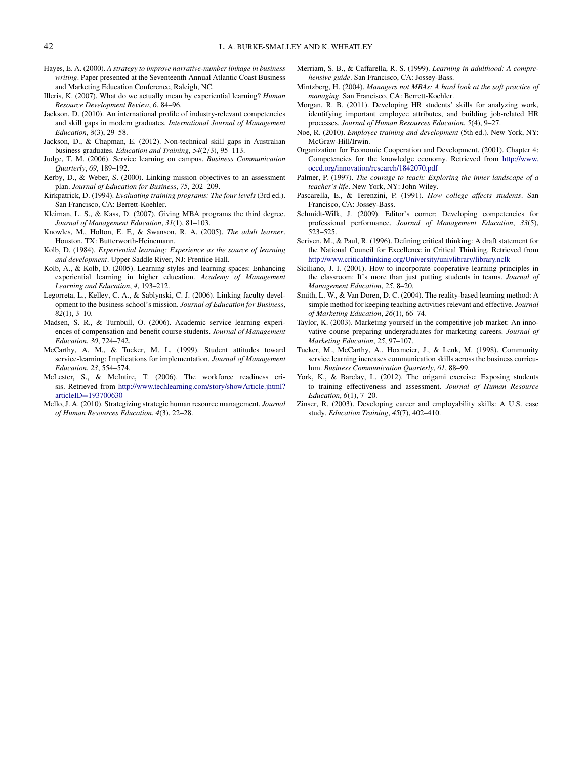- <span id="page-9-28"></span>Hayes, E. A. (2000). *A strategy to improve narrative-number linkage in business writing*. Paper presented at the Seventeenth Annual Atlantic Coast Business and Marketing Education Conference, Raleigh, NC.
- <span id="page-9-17"></span>Illeris, K. (2007). What do we actually mean by experiential learning? *Human Resource Development Review*, *6*, 84–96.
- <span id="page-9-11"></span>Jackson, D. (2010). An international profile of industry-relevant competencies and skill gaps in modern graduates. *International Journal of Management Education*, *8*(3), 29–58.
- <span id="page-9-10"></span>Jackson, D., & Chapman, E. (2012). Non-technical skill gaps in Australian business graduates. *Education and Training*, *54*(2*/*3), 95–113.
- <span id="page-9-22"></span>Judge, T. M. (2006). Service learning on campus. *Business Communication Quarterly*, *69*, 189–192.
- <span id="page-9-0"></span>Kerby, D., & Weber, S. (2000). Linking mission objectives to an assessment plan. *Journal of Education for Business*, *75*, 202–209.
- <span id="page-9-26"></span>Kirkpatrick, D. (1994). *Evaluating training programs: The four levels* (3rd ed.). San Francisco, CA: Berrett-Koehler.
- <span id="page-9-2"></span>Kleiman, L. S., & Kass, D. (2007). Giving MBA programs the third degree. *Journal of Management Education*, *31*(1), 81–103.
- <span id="page-9-13"></span>Knowles, M., Holton, E. F., & Swanson, R. A. (2005). *The adult learner*. Houston, TX: Butterworth-Heinemann.
- <span id="page-9-20"></span>Kolb, D. (1984). *Experiential learning: Experience as the source of learning and development*. Upper Saddle River, NJ: Prentice Hall.
- <span id="page-9-27"></span>Kolb, A., & Kolb, D. (2005). Learning styles and learning spaces: Enhancing experiential learning in higher education. *Academy of Management Learning and Education*, *4*, 193–212.
- <span id="page-9-1"></span>Legorreta, L., Kelley, C. A., & Sablynski, C. J. (2006). Linking faculty development to the business school's mission. *Journal of Education for Business*, *82*(1), 3–10.
- <span id="page-9-14"></span>Madsen, S. R., & Turnbull, O. (2006). Academic service learning experiences of compensation and benefit course students. *Journal of Management Education*, *30*, 724–742.
- <span id="page-9-25"></span>McCarthy, A. M., & Tucker, M. L. (1999). Student attitudes toward service-learning: Implications for implementation. *Journal of Management Education*, *23*, 554–574.
- <span id="page-9-7"></span>McLester, S., & McIntire, T. (2006). The workforce readiness crisis. Retrieved from [http://www.techlearning.com/story/showArticle.jhtml?](http://www.techlearning.com/story/showArticle.jhtml?articleID=193700630) articleID=[193700630](http://www.techlearning.com/story/showArticle.jhtml?articleID=193700630)
- <span id="page-9-19"></span>Mello, J. A. (2010). Strategizing strategic human resource management. *Journal of Human Resources Education*, *4*(3), 22–28.
- <span id="page-9-15"></span>Merriam, S. B., & Caffarella, R. S. (1999). *Learning in adulthood: A comprehensive guide*. San Francisco, CA: Jossey-Bass.
- Mintzberg, H. (2004). *Managers not MBAs: A hard look at the soft practice of managing*. San Francisco, CA: Berrett-Koehler.
- <span id="page-9-18"></span>Morgan, R. B. (2011). Developing HR students' skills for analyzing work, identifying important employee attributes, and building job-related HR processes. *Journal of Human Resources Education*, *5*(4), 9–27.
- <span id="page-9-12"></span>Noe, R. (2010). *Employee training and development* (5th ed.). New York, NY: McGraw-Hill/Irwin.
- <span id="page-9-8"></span>Organization for Economic Cooperation and Development. (2001). Chapter 4: Competencies for the knowledge economy. Retrieved from [http://www.](http://www.oecd.org/innovation/research/1842070.pdf) [oecd.org/innovation/research/1842070.pdf](http://www.oecd.org/innovation/research/1842070.pdf)
- <span id="page-9-29"></span>Palmer, P. (1997). *The courage to teach: Exploring the inner landscape of a teacher's life*. New York, NY: John Wiley.
- <span id="page-9-5"></span>Pascarella, E., & Terenzini, P. (1991). *How college affects students*. San Francisco, CA: Jossey-Bass.
- <span id="page-9-9"></span>Schmidt-Wilk, J. (2009). Editor's corner: Developing competencies for professional performance. *Journal of Management Education*, *33*(5), 523–525.
- <span id="page-9-24"></span>Scriven, M., & Paul, R. (1996). Defining critical thinking: A draft statement for the National Council for Excellence in Critical Thinking. Retrieved from <http://www.criticalthinking.org/University/univlibrary/library.nclk>
- <span id="page-9-23"></span>Siciliano, J. I. (2001). How to incorporate cooperative learning principles in the classroom: It's more than just putting students in teams. *Journal of Management Education*, *25*, 8–20.
- <span id="page-9-21"></span>Smith, L. W., & Van Doren, D. C. (2004). The reality-based learning method: A simple method for keeping teaching activities relevant and effective. *Journal of Marketing Education*, *26*(1), 66–74.
- <span id="page-9-4"></span>Taylor, K. (2003). Marketing yourself in the competitive job market: An innovative course preparing undergraduates for marketing careers. *Journal of Marketing Education*, *25*, 97–107.
- <span id="page-9-16"></span>Tucker, M., McCarthy, A., Hoxmeier, J., & Lenk, M. (1998). Community service learning increases communication skills across the business curriculum. *Business Communication Quarterly*, *61*, 88–99.
- <span id="page-9-3"></span>York, K., & Barclay, L. (2012). The origami exercise: Exposing students to training effectiveness and assessment. *Journal of Human Resource Education*, *6*(1), 7–20.
- <span id="page-9-6"></span>Zinser, R. (2003). Developing career and employability skills: A U.S. case study. *Education Training*, *45*(7), 402–410.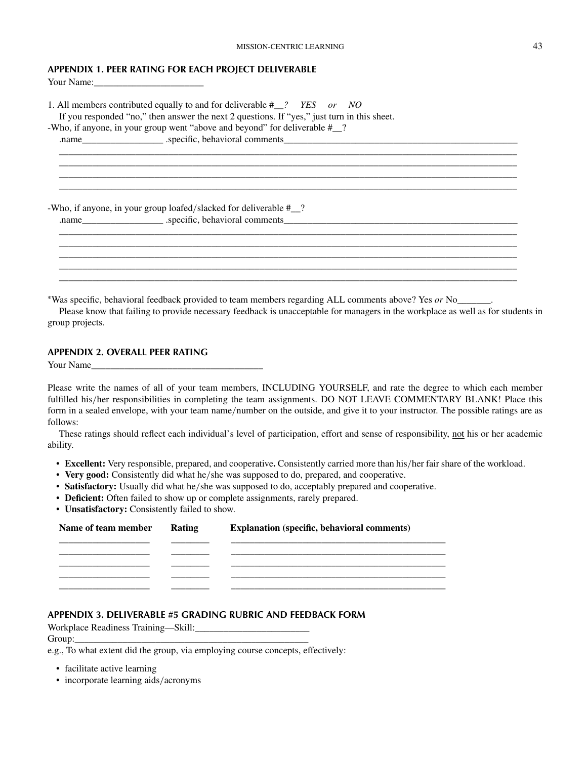# **APPENDIX 1. PEER RATING FOR EACH PROJECT DELIVERABLE**

Your Name:\_\_\_\_\_\_\_\_\_\_\_\_\_\_\_\_\_\_\_\_\_\_\_

| 1. All members contributed equally to and for deliverable $\#$ 2 YES or NO                          |  |
|-----------------------------------------------------------------------------------------------------|--|
| If you responded "no," then answer the next 2 questions. If "yes," just turn in this sheet.         |  |
| -Who, if anyone, in your group went "above and beyond" for deliverable #_?                          |  |
|                                                                                                     |  |
|                                                                                                     |  |
|                                                                                                     |  |
|                                                                                                     |  |
|                                                                                                     |  |
|                                                                                                     |  |
|                                                                                                     |  |
| -Who, if anyone, in your group loafed/slacked for deliverable $#_2$ ?                               |  |
|                                                                                                     |  |
|                                                                                                     |  |
|                                                                                                     |  |
|                                                                                                     |  |
|                                                                                                     |  |
|                                                                                                     |  |
|                                                                                                     |  |
|                                                                                                     |  |
| *Was specific, behavioral feedback provided to team members regarding ALL comments above? Yes or No |  |

Please know that failing to provide necessary feedback is unacceptable for managers in the workplace as well as for students in group projects.

# **APPENDIX 2. OVERALL PEER RATING**

Your Name

Please write the names of all of your team members, INCLUDING YOURSELF, and rate the degree to which each member fulfilled his/her responsibilities in completing the team assignments. DO NOT LEAVE COMMENTARY BLANK! Place this form in a sealed envelope, with your team name*/*number on the outside, and give it to your instructor. The possible ratings are as follows:

These ratings should reflect each individual's level of participation, effort and sense of responsibility, not his or her academic ability.

- **Excellent:** Very responsible, prepared, and cooperative**.** Consistently carried more than his*/*her fair share of the workload.
- **Very good:** Consistently did what he*/*she was supposed to do, prepared, and cooperative.
- **Satisfactory:** Usually did what he*/*she was supposed to do, acceptably prepared and cooperative.
- **Deficient:** Often failed to show up or complete assignments, rarely prepared.
- **Unsatisfactory:** Consistently failed to show.

| Name of team member | Rating | <b>Explanation (specific, behavioral comments)</b> |
|---------------------|--------|----------------------------------------------------|
|                     |        |                                                    |
|                     |        |                                                    |
|                     |        |                                                    |
|                     |        |                                                    |
|                     |        |                                                    |
|                     |        |                                                    |

#### **APPENDIX 3. DELIVERABLE #5 GRADING RUBRIC AND FEEDBACK FORM**

Workplace Readiness Training—Skill:\_\_\_\_\_\_\_\_\_\_\_\_\_\_\_\_\_\_\_\_\_\_\_\_

Group:\_\_\_\_\_\_\_\_\_\_\_\_\_\_\_\_\_\_\_\_\_\_\_\_\_\_\_\_\_\_\_\_\_\_\_\_\_\_\_\_\_\_\_\_\_\_\_\_\_

e.g., To what extent did the group, via employing course concepts, effectively:

- facilitate active learning
- incorporate learning aids*/*acronyms